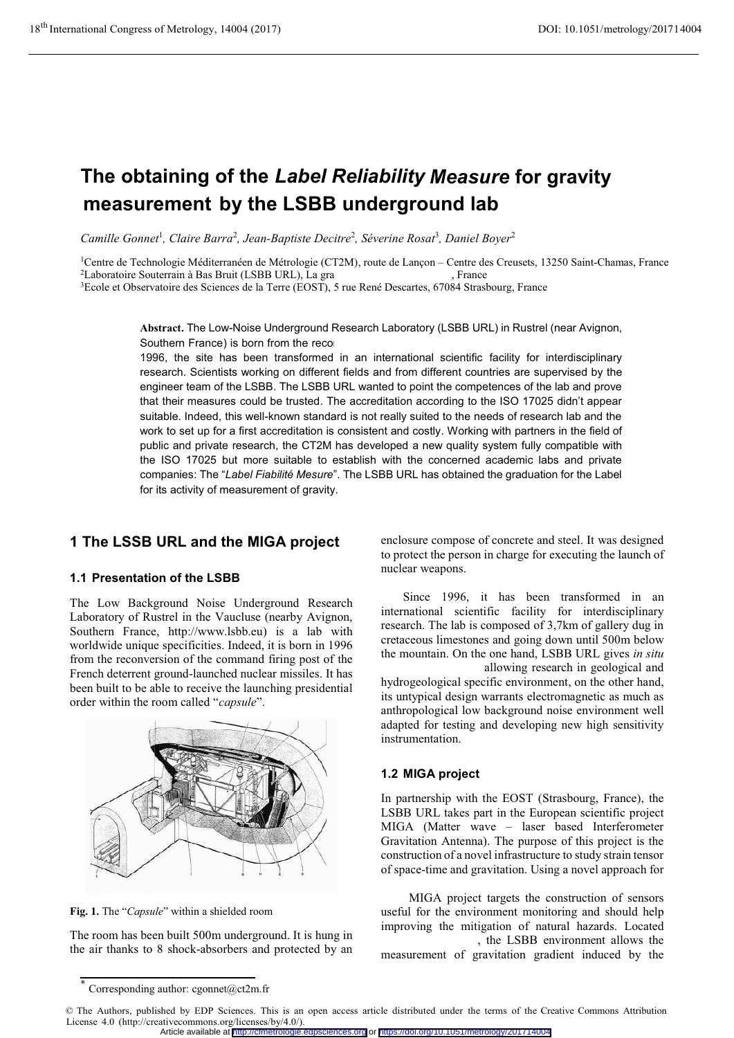# **The obtaining of the** *Label Reliability Measure* **for gravity measurement by the LSBB underground lab**

Camille Gonnet<sup>1</sup>, Claire Barra<sup>2</sup>, Jean-Baptiste Decitre<sup>2</sup>, Séverine Rosat<sup>3</sup>, Daniel Boyer<sup>2</sup>

<sup>1</sup>Centre de Technologie Méditerranéen de Métrologie (CT2M), route de Lançon – Centre des Creusets, 13250 Saint-Chamas, France <sup>2</sup>Laboratoire Souterrain à Bas Bruit (LSBB URL), La grande de Lançon – Strance au Strel, Franc

<sup>3</sup>Ecole et Observatoire des Sciences de la Terre (EOST), 5 rue René Descartes, 67084 Strasbourg, France

Abstract**.** The Low-Noise Underground Research Laboratory (LSBB URL) in Rustrel (near Avignon, Southern France) is born from the reco

1996, the site has been transformed in an international scientific facility for interdisciplinary research. Scientists working on different fields and from different countries are supervised by the engineer team of the LSBB. The LSBB URL wanted to point the competences of the lab and prove that their measures could be trusted. The accreditation according to the ISO 17025 didn't appear suitable. Indeed, this well-known standard is not really suited to the needs of research lab and the work to set up for a first accreditation is consistent and costly. Working with partners in the field of public and private research, the CT2M has developed a new quality system fully compatible with the ISO 17025 but more suitable to establish with the concerned academic labs and private companies: The "*Label Fiabilité Mesure*". The LSBB URL has obtained the graduation for the Label for its activity of measurement of gravity.

# **1 The LSSB URL and the MIGA project**

## **1.1 Presentation of the LSBB**

**The Low Background Noise Underground Research Laboratory of Rustrel in the Vaucluse (nearby Avignon, Southern France, http://www.lsbb.eu) is a lab with worldwide unique specificities. Indeed, it is born in 1996 from the reconversion of the command firing post of the French deterrent ground-launched nuclear missiles. It has been built to be able to receive the launching presidential order within the room called "capsule".**



**Fig. 1.** The "**Capsule" within <sup>a</sup> shielded room**

**The room has been built 500m underground. It is hung in the air thanks to 8 shock-absorbers and protected by an** **enclosure compose of concrete and steel. It was designed to protect the person in charge for executing the launch of nuclear weapons.** 

**Since 1996, it has been transformed in an international scientific facility for interdisciplinary research. The lab is composed of 3,7km of gallery dug in cretaceous limestones and going down until 500m below the mountain. On the one hand, LSBB URL gives in situ**

**access to deep soils allowing research in geological and hydrogeological specific environment, on the other hand, its untypical design warrants electromagnetic as much as anthropological low background noise environment well adapted for testing and developing new high sensitivity instrumentation.**

# **1.2 MIGA project**

**In partnership with the EOST (Strasbourg, France), the LSBB URL takes part in the European scientific project MIGA (Matter wave – laser based Interferometer Gravitation Antenna). The purpose of this project is the construction of a novel infrastructure to study strain tensor of space-time and gravitation. Using a novel approach for**

**MIGA project targets the construction of sensors useful for the environment monitoring and should help improving the mitigation of natural hazards. Located 500m underground, the LSBB environment allows the**

**measurement of gravitation gradient induced by the**

Article available at <http://cfmetrologie.edpsciences.org> or <https://doi.org/10.1051/metrology/201714004>

Corresponding author: cgonnet@ct2m.fr

<sup>©</sup> The Authors, published by EDP Sciences. This is an open access article distributed under the terms of the Creative Commons Attribution License 4.0 (http://creativecommons.org/licenses/by/4.0/).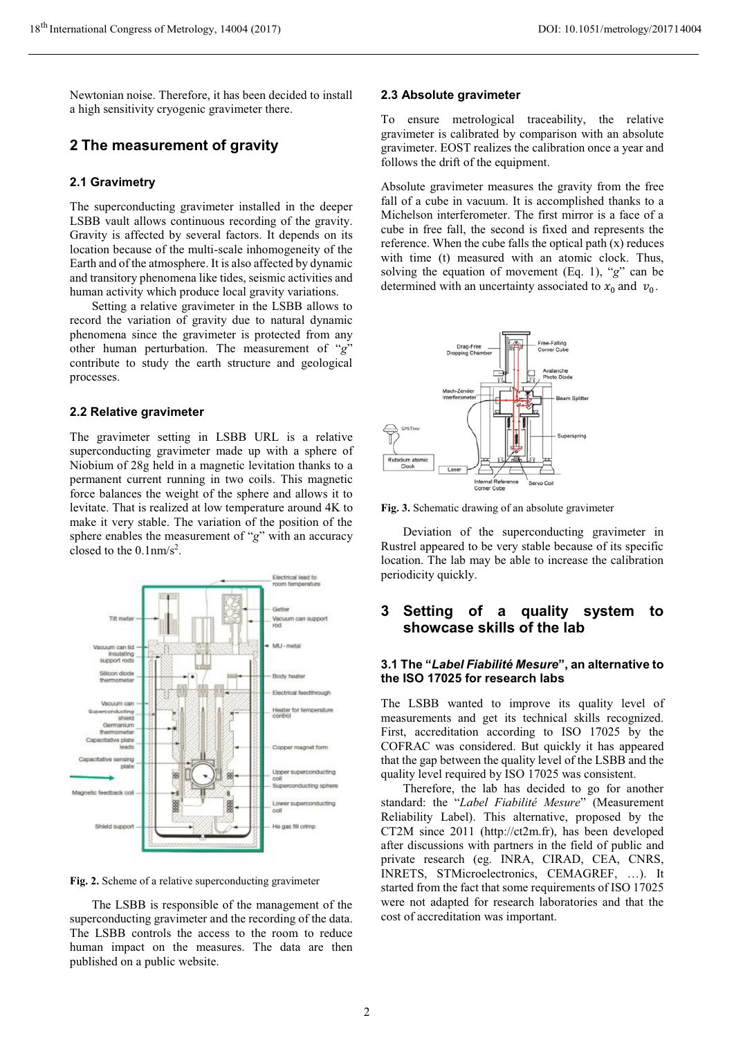**Newtonian noise. Therefore, it has been decided to install a high sensitivity cryogenic gravimeter there.**

# **2 The measurement of gravity**

## **2.1 Gravimetry**

**The superconducting gravimeter installed in the deeper LSBB vault allows continuous recording of the gravity. Gravity is affected by several factors. It depends on its location because of the multi-scale inhomogeneity of the Earth and of the atmosphere. It is also affected by dynamic and transitory phenomena like tides, seismic activities and human activity which produce local gravity variations.**

**Setting a relative gravimeter in the LSBB allows to record the variation of gravity due to natural dynamic phenomena since the gravimeter is protected from any other human perturbation. The measurement of "g" contribute to study the earth structure and geological processes.** 

## **2.2 Relative gravimeter**

**The gravimeter setting in LSBB URL is a relative superconducting gravimeter made up with a sphere of Niobium of 28g held in a magnetic levitation thanks to a permanent current running in two coils. This magnetic force balances the weight of the sphere and allows it to levitate. That is realized at low temperature around 4K to make it very stable. The variation of the position of the sphere enables the measurement of "g" with an accuracy closed to the 0.1nm/s2 .**



**Fig. 2.** Scheme of a relative superconducting gravimeter

**The LSBB is responsible of the management of the superconducting gravimeter and the recording of the data. The LSBB controls the access to the room to reduce human impact on the measures. The data are then published on a public website.**

#### **2.3 Absolute gravimeter**

**To ensure metrological traceability, the relative gravimeter is calibrated by comparison with an absolute gravimeter. EOST realizes the calibration once a year and follows the drift of the equipment.**

**Absolute gravimeter measures the gravity from the free fall of a cube in vacuum. It is accomplished thanks to a Michelson interferometer. The first mirror is a face of a cube in free fall, the second is fixed and represents the reference. When the cube falls the optical path (x) reduces with time (t) measured with an atomic clock. Thus, solving the equation of movement (Eq. 1), "g" can be** determined with an uncertainty associated to  $x_0$  and  $v_0$ .



**Fig. 3.** Schematic drawing of an absolute gravimeter

**Deviation of the superconducting gravimeter in Rustrel appeared to be very stable because of its specific location. The lab may be able to increase the calibration periodicity quickly.**

# **3 Setting of a quality system to showcase skills of the lab**

## **3.1 The "***Label Fiabilité Mesure***", an alternative to the ISO 17025 for research labs**

**The LSBB wanted to improve its quality level of measurements and get its technical skills recognized. First, accreditation according to ISO 17025 by the COFRAC was considered. But quickly it has appeared that the gap between the quality level of the LSBB and the quality level required by ISO 17025 was consistent.** 

**Therefore, the lab has decided to go for another standard: the "Label Fiabilité Mesure" (Measurement Reliability Label). This alternative, proposed by the CT2M since 2011 (http://ct2m.fr), has been developed after discussions with partners in the field of public and private research (eg. INRA, CIRAD, CEA, CNRS, INRETS, STMicroelectronics, CEMAGREF, …). It started from the fact that some requirements of ISO 17025 were not adapted for research laboratories and that the cost of accreditation was important.**